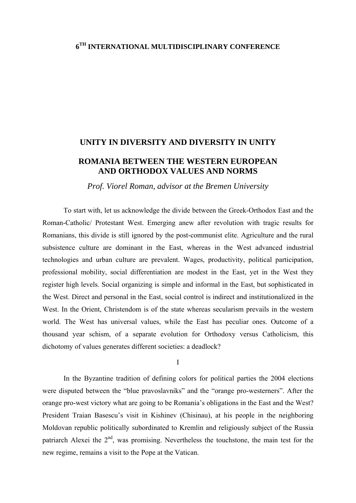# **6TH INTERNATIONAL MULTIDISCIPLINARY CONFERENCE**

# **UNITY IN DIVERSITY AND DIVERSITY IN UNITY**

# **ROMANIA BETWEEN THE WESTERN EUROPEAN AND ORTHODOX VALUES AND NORMS**

*Prof. Viorel Roman, advisor at the Bremen University* 

To start with, let us acknowledge the divide between the Greek-Orthodox East and the Roman-Catholic/ Protestant West. Emerging anew after revolution with tragic results for Romanians, this divide is still ignored by the post-communist elite. Agriculture and the rural subsistence culture are dominant in the East, whereas in the West advanced industrial technologies and urban culture are prevalent. Wages, productivity, political participation, professional mobility, social differentiation are modest in the East, yet in the West they register high levels. Social organizing is simple and informal in the East, but sophisticated in the West. Direct and personal in the East, social control is indirect and institutionalized in the West. In the Orient, Christendom is of the state whereas secularism prevails in the western world. The West has universal values, while the East has peculiar ones. Outcome of a thousand year schism, of a separate evolution for Orthodoxy versus Catholicism, this dichotomy of values generates different societies: a deadlock?

I

In the Byzantine tradition of defining colors for political parties the 2004 elections were disputed between the "blue pravoslavniks" and the "orange pro-westerners". After the orange pro-west victory what are going to be Romania's obligations in the East and the West? President Traian Basescu's visit in Kishinev (Chisinau), at his people in the neighboring Moldovan republic politically subordinated to Kremlin and religiously subject of the Russia patriarch Alexei the  $2<sup>nd</sup>$ , was promising. Nevertheless the touchstone, the main test for the new regime, remains a visit to the Pope at the Vatican.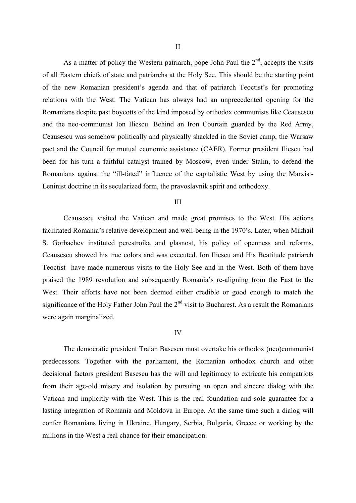As a matter of policy the Western patriarch, pope John Paul the  $2<sup>nd</sup>$ , accepts the visits of all Eastern chiefs of state and patriarchs at the Holy See. This should be the starting point of the new Romanian president's agenda and that of patriarch Teoctist's for promoting relations with the West. The Vatican has always had an unprecedented opening for the Romanians despite past boycotts of the kind imposed by orthodox communists like Ceausescu and the neo-communist Ion Iliescu. Behind an Iron Courtain guarded by the Red Army, Ceausescu was somehow politically and physically shackled in the Soviet camp, the Warsaw pact and the Council for mutual economic assistance (CAER). Former president Iliescu had been for his turn a faithful catalyst trained by Moscow, even under Stalin, to defend the Romanians against the "ill-fated" influence of the capitalistic West by using the Marxist-Leninist doctrine in its secularized form, the pravoslavnik spirit and orthodoxy.

## III

Ceausescu visited the Vatican and made great promises to the West. His actions facilitated Romania's relative development and well-being in the 1970's. Later, when Mikhail S. Gorbachev instituted perestroika and glasnost, his policy of openness and reforms, Ceausescu showed his true colors and was executed. Ion Iliescu and His Beatitude patriarch Teoctist have made numerous visits to the Holy See and in the West. Both of them have praised the 1989 revolution and subsequently Romania's re-aligning from the East to the West. Their efforts have not been deemed either credible or good enough to match the significance of the Holy Father John Paul the  $2<sup>nd</sup>$  visit to Bucharest. As a result the Romanians were again marginalized.

#### IV

The democratic president Traian Basescu must overtake his orthodox (neo)communist predecessors. Together with the parliament, the Romanian orthodox church and other decisional factors president Basescu has the will and legitimacy to extricate his compatriots from their age-old misery and isolation by pursuing an open and sincere dialog with the Vatican and implicitly with the West. This is the real foundation and sole guarantee for a lasting integration of Romania and Moldova in Europe. At the same time such a dialog will confer Romanians living in Ukraine, Hungary, Serbia, Bulgaria, Greece or working by the millions in the West a real chance for their emancipation.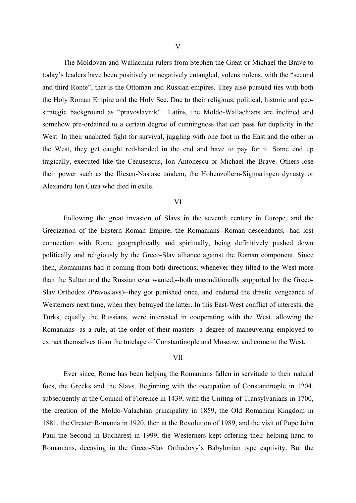The Moldovan and Wallachian rulers from Stephen the Great or Michael the Brave to today's leaders have been positively or negatively entangled, volens nolens, with the "second and third Rome", that is the Ottoman and Russian empires. They also pursued ties with both the Holy Roman Empire and the Holy See. Due to their religious, political, historic and geostrategic background as "pravoslavnik" Latins, the Moldo-Wallachians are inclined and somehow pre-ordained to a certain degree of cunningness that can pass for duplicity in the West. In their unabated fight for survival, juggling with one foot in the East and the other in the West, they get caught red-handed in the end and have to pay for it. Some end up tragically, executed like the Ceausescus, Ion Antonescu or Michael the Brave. Others lose their power such as the Iliescu-Nastase tandem, the Hohenzollern-Sigmaringen dynasty or Alexandru Ion Cuza who died in exile.

#### VI

Following the great invasion of Slavs in the seventh century in Europe, and the Grecization of the Eastern Roman Empire, the Romanians--Roman descendants,--had lost connection with Rome geographically and spiritually, being definitively pushed down politically and religiously by the Greco-Slav alliance against the Roman component. Since then, Romanians had it coming from both directions; whenever they tilted to the West more than the Sultan and the Russian czar wanted,--both unconditionally supported by the Greco-Slav Orthodox (Pravoslavs)--they got punished once, and endured the drastic vengeance of Westerners next time, when they betrayed the latter. In this East-West conflict of interests, the Turks, equally the Russians, were interested in cooperating with the West, allowing the Romanians--as a rule, at the order of their masters--a degree of maneuvering employed to extract themselves from the tutelage of Constantinople and Moscow, and come to the West.

# VII

Ever since, Rome has been helping the Romanians fallen in servitude to their natural foes, the Greeks and the Slavs. Beginning with the occupation of Constantinople in 1204, subsequently at the Council of Florence in 1439, with the Uniting of Transylvanians in 1700, the creation of the Moldo-Valachian principality in 1859, the Old Romanian Kingdom in 1881, the Greater Romania in 1920, then at the Revolution of 1989, and the visit of Pope John Paul the Second in Bucharest in 1999, the Westerners kept offering their helping hand to Romanians, decaying in the Greco-Slav Orthodoxy's Babylonian type captivity. But the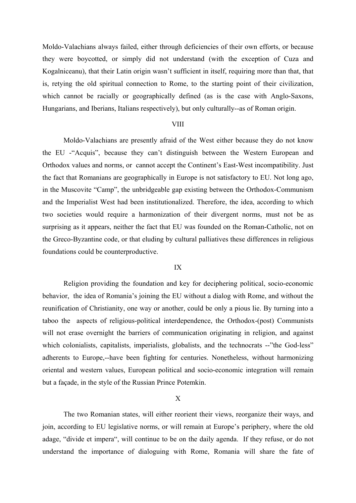Moldo-Valachians always failed, either through deficiencies of their own efforts, or because they were boycotted, or simply did not understand (with the exception of Cuza and Kogalniceanu), that their Latin origin wasn't sufficient in itself, requiring more than that, that is, retying the old spiritual connection to Rome, to the starting point of their civilization, which cannot be racially or geographically defined (as is the case with Anglo-Saxons, Hungarians, and Iberians, Italians respectively), but only culturally--as of Roman origin.

# **VIII**

Moldo-Valachians are presently afraid of the West either because they do not know the EU -"Acquis", because they can't distinguish between the Western European and Orthodox values and norms, or cannot accept the Continent's East-West incompatibility. Just the fact that Romanians are geographically in Europe is not satisfactory to EU. Not long ago, in the Muscovite "Camp", the unbridgeable gap existing between the Orthodox-Communism and the Imperialist West had been institutionalized. Therefore, the idea, according to which two societies would require a harmonization of their divergent norms, must not be as surprising as it appears, neither the fact that EU was founded on the Roman-Catholic, not on the Greco-Byzantine code, or that eluding by cultural palliatives these differences in religious foundations could be counterproductive.

## IX

Religion providing the foundation and key for deciphering political, socio-economic behavior, the idea of Romania's joining the EU without a dialog with Rome, and without the reunification of Christianity, one way or another, could be only a pious lie. By turning into a taboo the aspects of religious-political interdependence, the Orthodox-(post) Communists will not erase overnight the barriers of communication originating in religion, and against which colonialists, capitalists, imperialists, globalists, and the technocrats --"the God-less" adherents to Europe,--have been fighting for centuries. Nonetheless, without harmonizing oriental and western values, European political and socio-economic integration will remain but a façade, in the style of the Russian Prince Potemkin.

## X

The two Romanian states, will either reorient their views, reorganize their ways, and join, according to EU legislative norms, or will remain at Europe's periphery, where the old adage, "divide et impera", will continue to be on the daily agenda. If they refuse, or do not understand the importance of dialoguing with Rome, Romania will share the fate of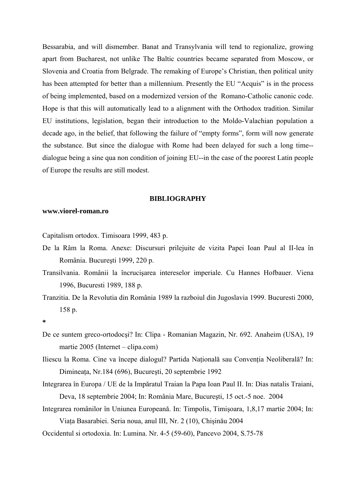Bessarabia, and will dismember. Banat and Transylvania will tend to regionalize, growing apart from Bucharest, not unlike The Baltic countries became separated from Moscow, or Slovenia and Croatia from Belgrade. The remaking of Europe's Christian, then political unity has been attempted for better than a millennium. Presently the EU "Acquis" is in the process of being implemented, based on a modernized version of the Romano-Catholic canonic code. Hope is that this will automatically lead to a alignment with the Orthodox tradition. Similar EU institutions, legislation, began their introduction to the Moldo-Valachian population a decade ago, in the belief, that following the failure of "empty forms", form will now generate the substance. But since the dialogue with Rome had been delayed for such a long time- dialogue being a sine qua non condition of joining EU--in the case of the poorest Latin people of Europe the results are still modest.

### **BIBLIOGRAPHY**

## **www.viorel-roman.ro**

Capitalism ortodox. Timisoara 1999, 483 p.

- De la Râm la Roma. Anexe: Discursuri prilejuite de vizita Papei Ioan Paul al II-lea în România. Bucureşti 1999, 220 p.
- Transilvania. Românii la încrucişarea intereselor imperiale. Cu Hannes Hofbauer. Viena 1996, Bucuresti 1989, 188 p.
- Tranzitia. De la Revolutia din România 1989 la razboiul din Jugoslavia 1999. Bucuresti 2000, 158 p.

- De ce suntem greco-ortodocşi? In: Clipa Romanian Magazin, Nr. 692. Anaheim (USA), 19 martie 2005 (Internet – clipa.com)
- Iliescu la Roma. Cine va începe dialogul? Partida Naţională sau Convenţia Neoliberală? In: Dimineaţa, Nr.184 (696), Bucureşti, 20 septembrie 1992
- Integrarea în Europa / UE de la Impăratul Traian la Papa Ioan Paul II. In: Dias natalis Traiani, Deva, 18 septembrie 2004; In: România Mare, Bucureşti, 15 oct.-5 noe. 2004
- Integrarea românilor în Uniunea Europeană. In: Timpolis, Timişoara, 1,8,17 martie 2004; In: Viaţa Basarabiei. Seria noua, anul III, Nr. 2 (10), Chişinău 2004
- Occidentul si ortodoxia. In: Lumina. Nr. 4-5 (59-60), Pancevo 2004, S.75-78

**<sup>\*</sup>**